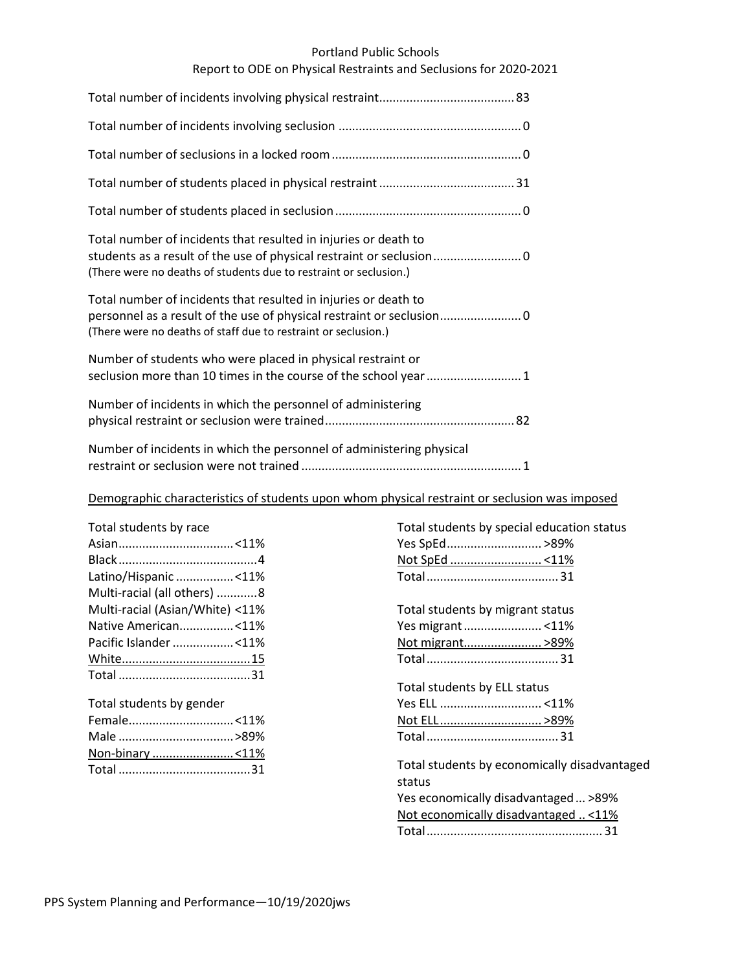#### Portland Public Schools

## Report to ODE on Physical Restraints and Seclusions for 2020-2021

| Total number of incidents that resulted in injuries or death to<br>(There were no deaths of students due to restraint or seclusion.) |
|--------------------------------------------------------------------------------------------------------------------------------------|
| Total number of incidents that resulted in injuries or death to<br>(There were no deaths of staff due to restraint or seclusion.)    |
| Number of students who were placed in physical restraint or<br>seclusion more than 10 times in the course of the school year 1       |
| Number of incidents in which the personnel of administering                                                                          |
| Number of incidents in which the personnel of administering physical                                                                 |

### Demographic characteristics of students upon whom physical restraint or seclusion was imposed

| Total students by race          |
|---------------------------------|
|                                 |
|                                 |
| Latino/Hispanic <11%            |
| Multi-racial (all others) 8     |
| Multi-racial (Asian/White) <11% |
| Native American<11%             |
| Pacific Islander <11%           |
|                                 |
|                                 |
|                                 |

# Total students by gender Female...............................<11% Male ..................................>89% Non-binary ..........................<11% Total .......................................31

| Total students by special education status             |
|--------------------------------------------------------|
| Yes SpEd >89%                                          |
|                                                        |
|                                                        |
| Total students by migrant status                       |
| Yes migrant <11%                                       |
| Not migrant >89%                                       |
|                                                        |
| Total students by ELL status                           |
|                                                        |
| <u>Not ELL &gt;89%</u>                                 |
|                                                        |
| Total students by economically disadvantaged<br>status |
| Yes economically disadvantaged  >89%                   |
| Not economically disadvantaged < 11%                   |
|                                                        |
|                                                        |